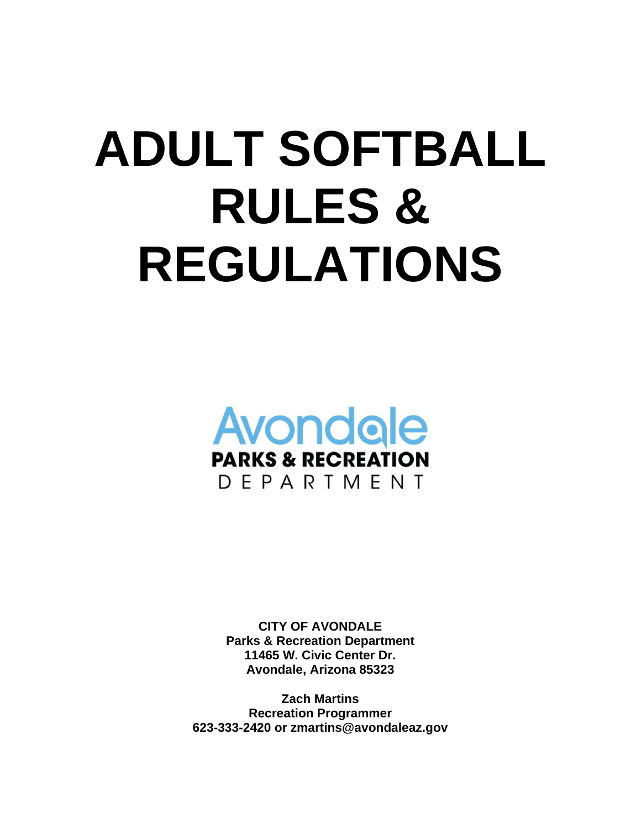# **ADULT SOFTBALL RULES & REGULATIONS**



**CITY OF AVONDALE Parks & Recreation Department 11465 W. Civic Center Dr. Avondale, Arizona 85323**

**Zach Martins Recreation Programmer 623-333-2420 or zmartins@avondaleaz.gov**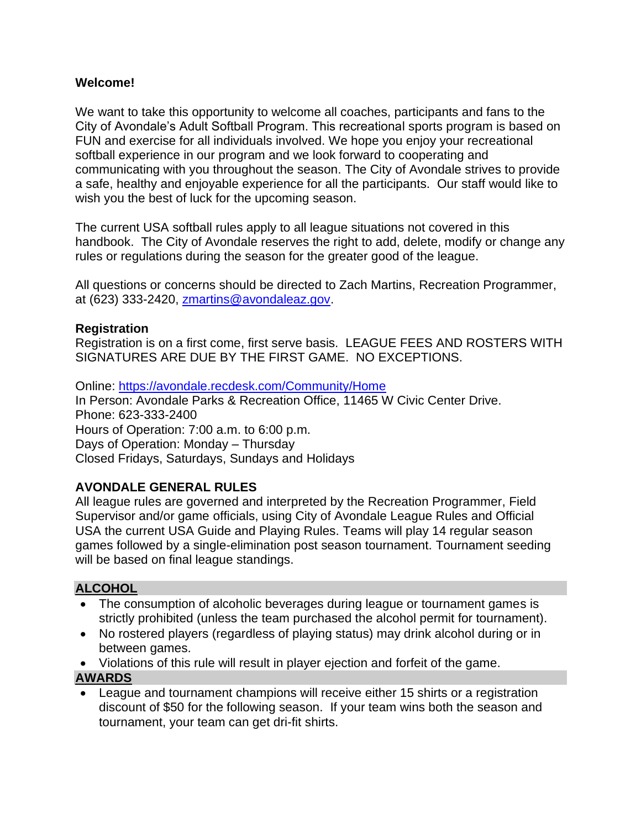## **Welcome!**

We want to take this opportunity to welcome all coaches, participants and fans to the City of Avondale's Adult Softball Program. This recreational sports program is based on FUN and exercise for all individuals involved. We hope you enjoy your recreational softball experience in our program and we look forward to cooperating and communicating with you throughout the season. The City of Avondale strives to provide a safe, healthy and enjoyable experience for all the participants. Our staff would like to wish you the best of luck for the upcoming season.

The current USA softball rules apply to all league situations not covered in this handbook. The City of Avondale reserves the right to add, delete, modify or change any rules or regulations during the season for the greater good of the league.

All questions or concerns should be directed to Zach Martins, Recreation Programmer, at (623) 333-2420, [zmartins@avondaleaz.gov.](mailto:zmartins@avondaleaz.gov)

## **Registration**

Registration is on a first come, first serve basis. LEAGUE FEES AND ROSTERS WITH SIGNATURES ARE DUE BY THE FIRST GAME. NO EXCEPTIONS.

Online:<https://avondale.recdesk.com/Community/Home> In Person: Avondale Parks & Recreation Office, 11465 W Civic Center Drive. Phone: 623-333-2400 Hours of Operation: 7:00 a.m. to 6:00 p.m. Days of Operation: Monday – Thursday Closed Fridays, Saturdays, Sundays and Holidays

## **AVONDALE GENERAL RULES**

All league rules are governed and interpreted by the Recreation Programmer, Field Supervisor and/or game officials, using City of Avondale League Rules and Official USA the current USA Guide and Playing Rules. Teams will play 14 regular season games followed by a single-elimination post season tournament. Tournament seeding will be based on final league standings.

## **ALCOHOL**

- The consumption of alcoholic beverages during league or tournament games is strictly prohibited (unless the team purchased the alcohol permit for tournament).
- No rostered players (regardless of playing status) may drink alcohol during or in between games.
- Violations of this rule will result in player ejection and forfeit of the game.

## **AWARDS**

• League and tournament champions will receive either 15 shirts or a registration discount of \$50 for the following season. If your team wins both the season and tournament, your team can get dri-fit shirts.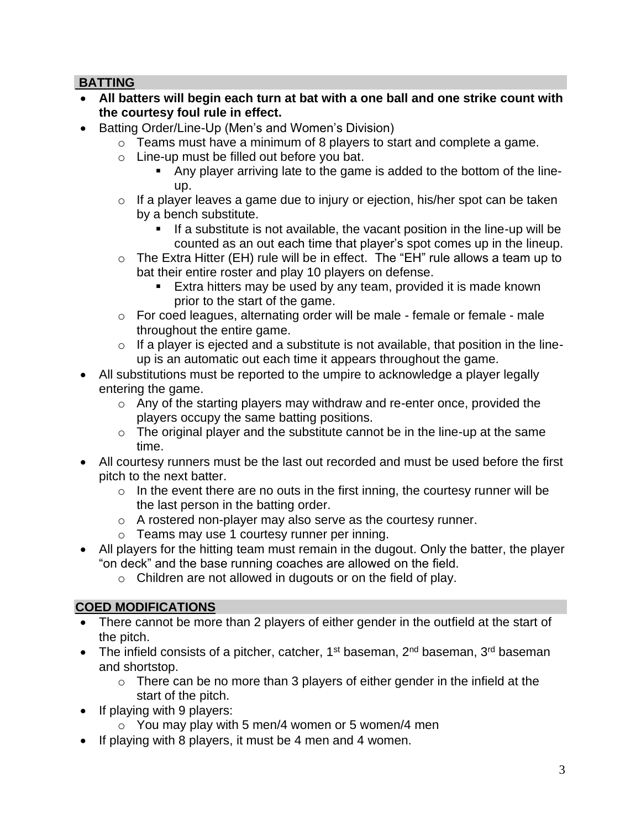## **BATTING**

- **All batters will begin each turn at bat with a one ball and one strike count with the courtesy foul rule in effect.**
- Batting Order/Line-Up (Men's and Women's Division)
	- o Teams must have a minimum of 8 players to start and complete a game.
	- o Line-up must be filled out before you bat.
		- Any player arriving late to the game is added to the bottom of the lineup.
	- o If a player leaves a game due to injury or ejection, his/her spot can be taken by a bench substitute.
		- If a substitute is not available, the vacant position in the line-up will be counted as an out each time that player's spot comes up in the lineup.
	- $\circ$  The Extra Hitter (EH) rule will be in effect. The "EH" rule allows a team up to bat their entire roster and play 10 players on defense.
		- **Extra hitters may be used by any team, provided it is made known** prior to the start of the game.
	- o For coed leagues, alternating order will be male female or female male throughout the entire game.
	- $\circ$  If a player is ejected and a substitute is not available, that position in the lineup is an automatic out each time it appears throughout the game.
- All substitutions must be reported to the umpire to acknowledge a player legally entering the game.
	- o Any of the starting players may withdraw and re-enter once, provided the players occupy the same batting positions.
	- $\circ$  The original player and the substitute cannot be in the line-up at the same time.
- All courtesy runners must be the last out recorded and must be used before the first pitch to the next batter.
	- $\circ$  In the event there are no outs in the first inning, the courtesy runner will be the last person in the batting order.
	- o A rostered non-player may also serve as the courtesy runner.
	- o Teams may use 1 courtesy runner per inning.
- All players for the hitting team must remain in the dugout. Only the batter, the player "on deck" and the base running coaches are allowed on the field.
	- o Children are not allowed in dugouts or on the field of play.

# **COED MODIFICATIONS**

- There cannot be more than 2 players of either gender in the outfield at the start of the pitch.
- The infield consists of a pitcher, catcher,  $1^{st}$  baseman,  $2^{nd}$  baseman,  $3^{rd}$  baseman and shortstop.
	- $\circ$  There can be no more than 3 players of either gender in the infield at the start of the pitch.
- If playing with 9 players:
	- $\circ$  You may play with 5 men/4 women or 5 women/4 men
- If playing with 8 players, it must be 4 men and 4 women.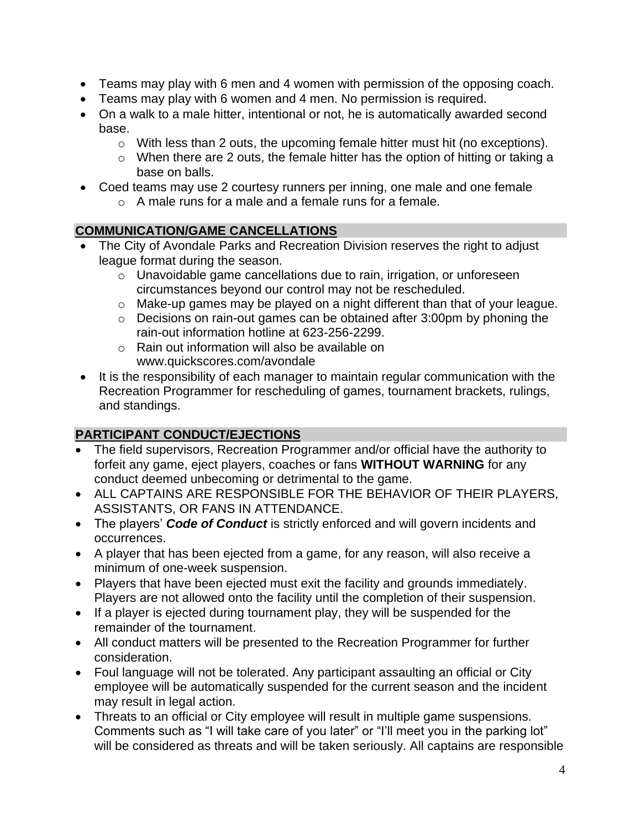- Teams may play with 6 men and 4 women with permission of the opposing coach.
- Teams may play with 6 women and 4 men. No permission is required.
- On a walk to a male hitter, intentional or not, he is automatically awarded second base.
	- o With less than 2 outs, the upcoming female hitter must hit (no exceptions).
	- o When there are 2 outs, the female hitter has the option of hitting or taking a base on balls.
- Coed teams may use 2 courtesy runners per inning, one male and one female
	- o A male runs for a male and a female runs for a female.

## **COMMUNICATION/GAME CANCELLATIONS**

- The City of Avondale Parks and Recreation Division reserves the right to adjust league format during the season.
	- o Unavoidable game cancellations due to rain, irrigation, or unforeseen circumstances beyond our control may not be rescheduled.
	- o Make-up games may be played on a night different than that of your league.
	- o Decisions on rain-out games can be obtained after 3:00pm by phoning the rain-out information hotline at 623-256-2299.
	- o Rain out information will also be available on www.quickscores.com/avondale
- It is the responsibility of each manager to maintain regular communication with the Recreation Programmer for rescheduling of games, tournament brackets, rulings, and standings.

# **PARTICIPANT CONDUCT/EJECTIONS**

- The field supervisors, Recreation Programmer and/or official have the authority to forfeit any game, eject players, coaches or fans **WITHOUT WARNING** for any conduct deemed unbecoming or detrimental to the game.
- ALL CAPTAINS ARE RESPONSIBLE FOR THE BEHAVIOR OF THEIR PLAYERS, ASSISTANTS, OR FANS IN ATTENDANCE.
- The players' *Code of Conduct* is strictly enforced and will govern incidents and occurrences.
- A player that has been ejected from a game, for any reason, will also receive a minimum of one-week suspension.
- Players that have been ejected must exit the facility and grounds immediately. Players are not allowed onto the facility until the completion of their suspension.
- If a player is ejected during tournament play, they will be suspended for the remainder of the tournament.
- All conduct matters will be presented to the Recreation Programmer for further consideration.
- Foul language will not be tolerated. Any participant assaulting an official or City employee will be automatically suspended for the current season and the incident may result in legal action.
- Threats to an official or City employee will result in multiple game suspensions. Comments such as "I will take care of you later" or "I'll meet you in the parking lot" will be considered as threats and will be taken seriously. All captains are responsible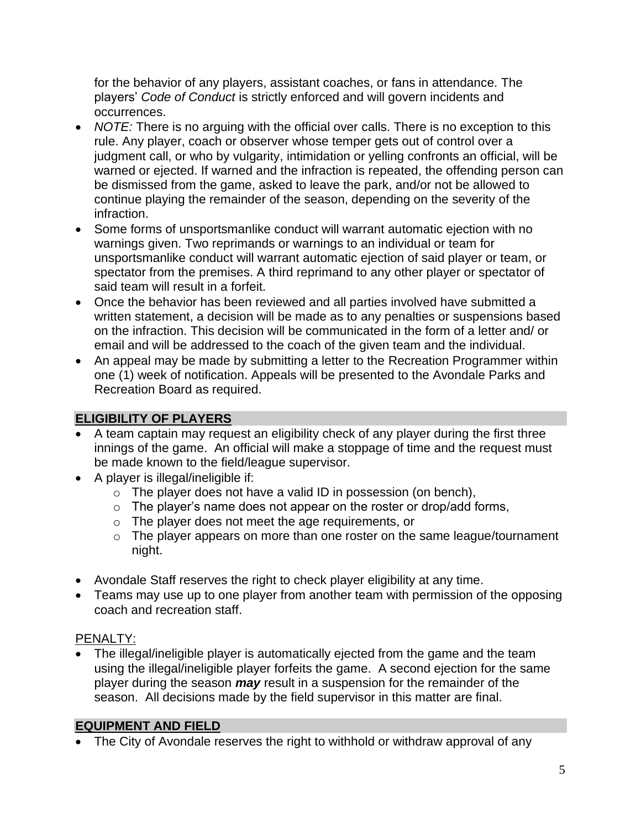for the behavior of any players, assistant coaches, or fans in attendance. The players' *Code of Conduct* is strictly enforced and will govern incidents and occurrences.

- *NOTE:* There is no arguing with the official over calls. There is no exception to this rule. Any player, coach or observer whose temper gets out of control over a judgment call, or who by vulgarity, intimidation or yelling confronts an official, will be warned or ejected. If warned and the infraction is repeated, the offending person can be dismissed from the game, asked to leave the park, and/or not be allowed to continue playing the remainder of the season, depending on the severity of the infraction.
- Some forms of unsportsmanlike conduct will warrant automatic ejection with no warnings given. Two reprimands or warnings to an individual or team for unsportsmanlike conduct will warrant automatic ejection of said player or team, or spectator from the premises. A third reprimand to any other player or spectator of said team will result in a forfeit.
- Once the behavior has been reviewed and all parties involved have submitted a written statement, a decision will be made as to any penalties or suspensions based on the infraction. This decision will be communicated in the form of a letter and/ or email and will be addressed to the coach of the given team and the individual.
- An appeal may be made by submitting a letter to the Recreation Programmer within one (1) week of notification. Appeals will be presented to the Avondale Parks and Recreation Board as required.

# **ELIGIBILITY OF PLAYERS**

- A team captain may request an eligibility check of any player during the first three innings of the game. An official will make a stoppage of time and the request must be made known to the field/league supervisor.
- A player is illegal/ineligible if:
	- $\circ$  The player does not have a valid ID in possession (on bench),
	- $\circ$  The player's name does not appear on the roster or drop/add forms,
	- o The player does not meet the age requirements, or
	- o The player appears on more than one roster on the same league/tournament night.
- Avondale Staff reserves the right to check player eligibility at any time.
- Teams may use up to one player from another team with permission of the opposing coach and recreation staff.

# PENALTY:

• The illegal/ineligible player is automatically ejected from the game and the team using the illegal/ineligible player forfeits the game. A second ejection for the same player during the season *may* result in a suspension for the remainder of the season. All decisions made by the field supervisor in this matter are final.

# **EQUIPMENT AND FIELD**

• The City of Avondale reserves the right to withhold or withdraw approval of any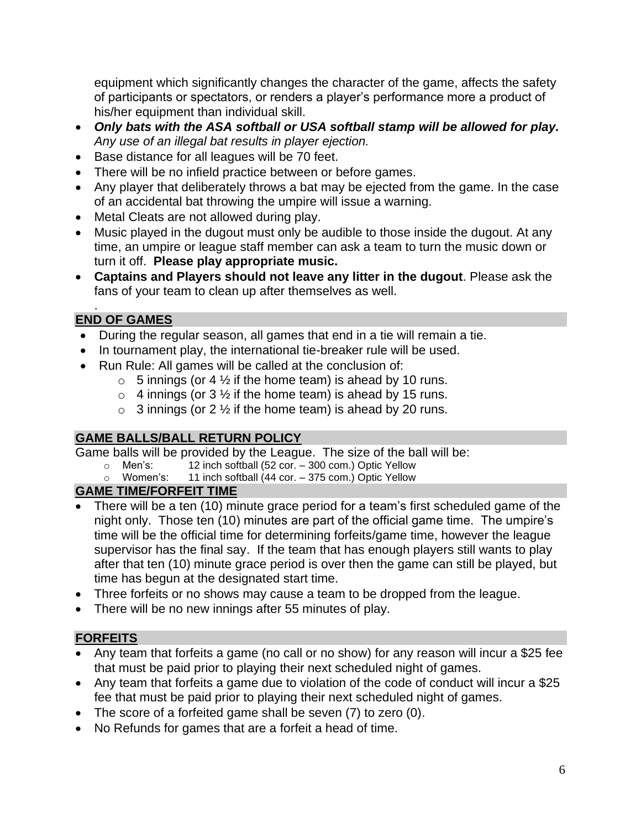equipment which significantly changes the character of the game, affects the safety of participants or spectators, or renders a player's performance more a product of his/her equipment than individual skill.

- *Only bats with the ASA softball or USA softball stamp will be allowed for play. Any use of an illegal bat results in player ejection.*
- Base distance for all leagues will be 70 feet.
- There will be no infield practice between or before games.
- Any player that deliberately throws a bat may be ejected from the game. In the case of an accidental bat throwing the umpire will issue a warning.
- Metal Cleats are not allowed during play.
- Music played in the dugout must only be audible to those inside the dugout. At any time, an umpire or league staff member can ask a team to turn the music down or turn it off. **Please play appropriate music.**
- **Captains and Players should not leave any litter in the dugout**. Please ask the fans of your team to clean up after themselves as well.

#### . **END OF GAMES**

- During the regular season, all games that end in a tie will remain a tie.
- In tournament play, the international tie-breaker rule will be used.
- Run Rule: All games will be called at the conclusion of:
	- $\circ$  5 innings (or 4  $\frac{1}{2}$  if the home team) is ahead by 10 runs.
	- $\circ$  4 innings (or 3  $\frac{1}{2}$  if the home team) is ahead by 15 runs.
	- $\circ$  3 innings (or 2  $\frac{1}{2}$  if the home team) is ahead by 20 runs.

# **GAME BALLS/BALL RETURN POLICY**

Game balls will be provided by the League. The size of the ball will be:<br>  $\circ$  Men's: 12 inch softball (52 cor. – 300 com.) Optic Yellow

- 12 inch softball (52 cor. 300 com.) Optic Yellow
- o Women's: 11 inch softball (44 cor. 375 com.) Optic Yellow

# **GAME TIME/FORFEIT TIME**

- There will be a ten (10) minute grace period for a team's first scheduled game of the night only. Those ten (10) minutes are part of the official game time. The umpire's time will be the official time for determining forfeits/game time, however the league supervisor has the final say. If the team that has enough players still wants to play after that ten (10) minute grace period is over then the game can still be played, but time has begun at the designated start time.
- Three forfeits or no shows may cause a team to be dropped from the league.
- There will be no new innings after 55 minutes of play.

# **FORFEITS**

- Any team that forfeits a game (no call or no show) for any reason will incur a \$25 fee that must be paid prior to playing their next scheduled night of games.
- Any team that forfeits a game due to violation of the code of conduct will incur a \$25 fee that must be paid prior to playing their next scheduled night of games.
- The score of a forfeited game shall be seven (7) to zero (0).
- No Refunds for games that are a forfeit a head of time.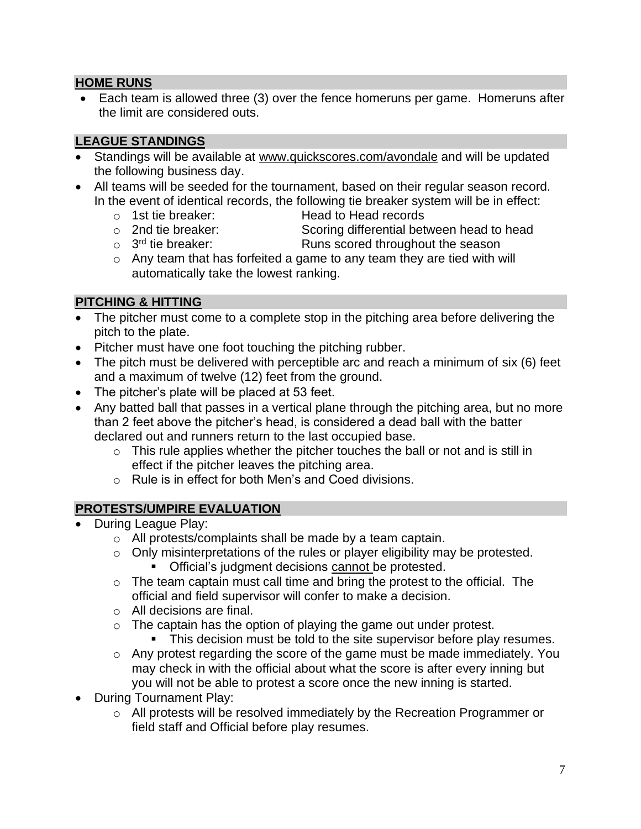## **HOME RUNS**

• Each team is allowed three (3) over the fence homeruns per game. Homeruns after the limit are considered outs.

## **LEAGUE STANDINGS**

- Standings will be available at www.quickscores.com/avondale and will be updated the following business day.
- All teams will be seeded for the tournament, based on their regular season record. In the event of identical records, the following tie breaker system will be in effect:
	- o 1st tie breaker: Head to Head records
	- o 2nd tie breaker: Scoring differential between head to head
	- $\circ$  3<sup>rd</sup> tie breaker: Runs scored throughout the season
	- $\circ$  Any team that has forfeited a game to any team they are tied with will automatically take the lowest ranking.

## **PITCHING & HITTING**

- The pitcher must come to a complete stop in the pitching area before delivering the pitch to the plate.
- Pitcher must have one foot touching the pitching rubber.
- The pitch must be delivered with perceptible arc and reach a minimum of six (6) feet and a maximum of twelve (12) feet from the ground.
- The pitcher's plate will be placed at 53 feet.
- Any batted ball that passes in a vertical plane through the pitching area, but no more than 2 feet above the pitcher's head, is considered a dead ball with the batter declared out and runners return to the last occupied base.
	- $\circ$  This rule applies whether the pitcher touches the ball or not and is still in effect if the pitcher leaves the pitching area.
	- o Rule is in effect for both Men's and Coed divisions.

# **PROTESTS/UMPIRE EVALUATION**

- During League Play:
	- o All protests/complaints shall be made by a team captain.
	- o Only misinterpretations of the rules or player eligibility may be protested. ■ Official's judgment decisions cannot be protested.
	- $\circ$  The team captain must call time and bring the protest to the official. The official and field supervisor will confer to make a decision.
	- o All decisions are final.
	- $\circ$  The captain has the option of playing the game out under protest.
		- **•** This decision must be told to the site supervisor before play resumes.
	- o Any protest regarding the score of the game must be made immediately. You may check in with the official about what the score is after every inning but you will not be able to protest a score once the new inning is started.
- During Tournament Play:
	- o All protests will be resolved immediately by the Recreation Programmer or field staff and Official before play resumes.